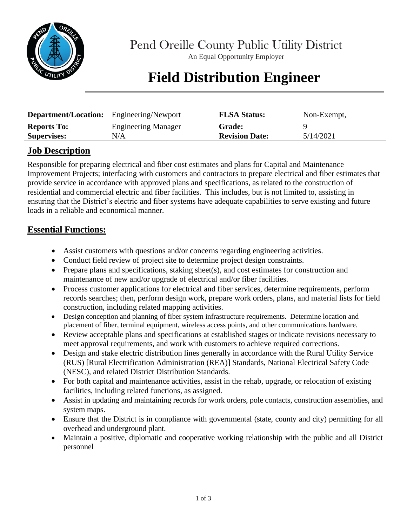

Pend Oreille County Public Utility District

An Equal Opportunity Employer

## **Field Distribution Engineer**

| <b>Department/Location:</b> Engineering/Newport |                            | <b>FLSA Status:</b>   | Non-Exempt, |
|-------------------------------------------------|----------------------------|-----------------------|-------------|
| <b>Reports To:</b>                              | <b>Engineering Manager</b> | <b>Grade:</b>         |             |
| <b>Supervises:</b>                              | N/A                        | <b>Revision Date:</b> | 5/14/2021   |

## **Job Description**

Responsible for preparing electrical and fiber cost estimates and plans for Capital and Maintenance Improvement Projects; interfacing with customers and contractors to prepare electrical and fiber estimates that provide service in accordance with approved plans and specifications, as related to the construction of residential and commercial electric and fiber facilities. This includes, but is not limited to, assisting in ensuring that the District's electric and fiber systems have adequate capabilities to serve existing and future loads in a reliable and economical manner.

### **Essential Functions:**

- Assist customers with questions and/or concerns regarding engineering activities.
- Conduct field review of project site to determine project design constraints.
- Prepare plans and specifications, staking sheet(s), and cost estimates for construction and maintenance of new and/or upgrade of electrical and/or fiber facilities.
- Process customer applications for electrical and fiber services, determine requirements, perform records searches; then, perform design work, prepare work orders, plans, and material lists for field construction, including related mapping activities.
- Design conception and planning of fiber system infrastructure requirements. Determine location and placement of fiber, terminal equipment, wireless access points, and other communications hardware.
- Review acceptable plans and specifications at established stages or indicate revisions necessary to meet approval requirements, and work with customers to achieve required corrections.
- Design and stake electric distribution lines generally in accordance with the Rural Utility Service (RUS) [Rural Electrification Administration (REA)] Standards, National Electrical Safety Code (NESC), and related District Distribution Standards.
- For both capital and maintenance activities, assist in the rehab, upgrade, or relocation of existing facilities, including related functions, as assigned.
- Assist in updating and maintaining records for work orders, pole contacts, construction assemblies, and system maps.
- Ensure that the District is in compliance with governmental (state, county and city) permitting for all overhead and underground plant.
- Maintain a positive, diplomatic and cooperative working relationship with the public and all District personnel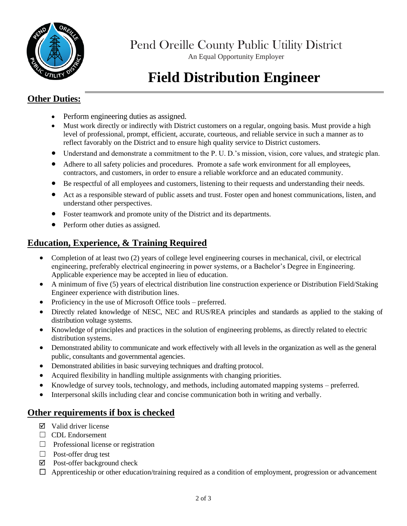

Pend Oreille County Public Utility District

An Equal Opportunity Employer

# **Field Distribution Engineer**

### **Other Duties:**

- Perform engineering duties as assigned.
- Must work directly or indirectly with District customers on a regular, ongoing basis. Must provide a high level of professional, prompt, efficient, accurate, courteous, and reliable service in such a manner as to reflect favorably on the District and to ensure high quality service to District customers.
- Understand and demonstrate a commitment to the P. U. D.'s mission, vision, core values, and strategic plan.
- Adhere to all safety policies and procedures. Promote a safe work environment for all employees, contractors, and customers, in order to ensure a reliable workforce and an educated community.
- Be respectful of all employees and customers, listening to their requests and understanding their needs.
- Act as a responsible steward of public assets and trust. Foster open and honest communications, listen, and understand other perspectives.
- Foster teamwork and promote unity of the District and its departments.
- Perform other duties as assigned.

### **Education, Experience, & Training Required**

- Completion of at least two (2) years of college level engineering courses in mechanical, civil, or electrical engineering, preferably electrical engineering in power systems, or a Bachelor's Degree in Engineering. Applicable experience may be accepted in lieu of education.
- A minimum of five (5) years of electrical distribution line construction experience or Distribution Field/Staking Engineer experience with distribution lines.
- Proficiency in the use of Microsoft Office tools preferred.
- Directly related knowledge of NESC, NEC and RUS/REA principles and standards as applied to the staking of distribution voltage systems.
- Knowledge of principles and practices in the solution of engineering problems, as directly related to electric distribution systems.
- Demonstrated ability to communicate and work effectively with all levels in the organization as well as the general public, consultants and governmental agencies.
- Demonstrated abilities in basic surveying techniques and drafting protocol.
- Acquired flexibility in handling multiple assignments with changing priorities.
- Knowledge of survey tools, technology, and methods, including automated mapping systems preferred.
- Interpersonal skills including clear and concise communication both in writing and verbally.

#### **Other requirements if box is checked**

- $\boxtimes$  Valid driver license
- □ CDL Endorsement
- ☐ Professional license or registration
- $\Box$  Post-offer drug test
- $\boxtimes$  Post-offer background check
- ☐ Apprenticeship or other education/training required as a condition of employment, progression or advancement